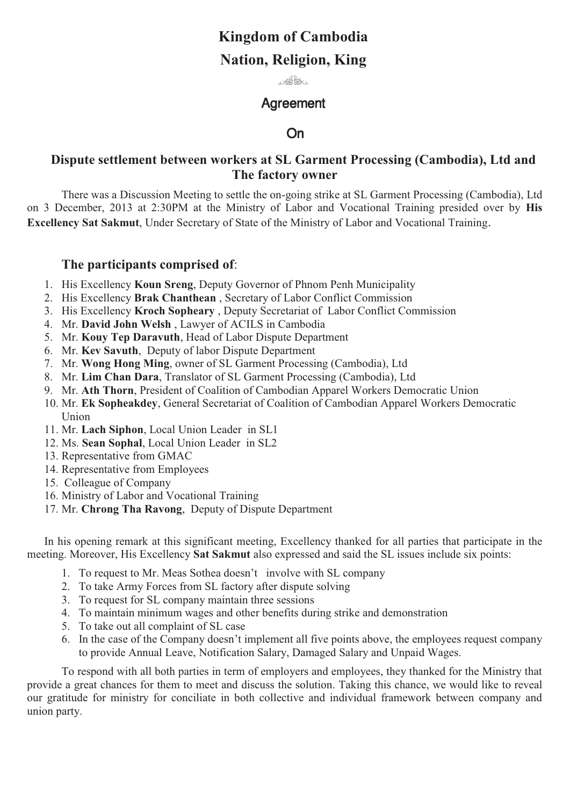# **Kingdom of Cambodia**

# **Nation, Religion, King**

 $\mathcal{A}^{\text{in}}_{\text{out}}$ 

# **Agreement**

#### **On** On

# **Dispute settlement between workers at SL Garment Processing (Cambodia), Ltd and The factory owner**

There was a Discussion Meeting to settle the on-going strike at SL Garment Processing (Cambodia), Ltd on 3 December, 2013 at 2:30PM at the Ministry of Labor and Vocational Training presided over by **His Excellency Sat Sakmut**, Under Secretary of State of the Ministry of Labor and Vocational Training.

### **The participants comprised of**:

- 1. His Excellency **Koun Sreng**, Deputy Governor of Phnom Penh Municipality
- 2. His Excellency **Brak Chanthean** , Secretary of Labor Conflict Commission
- 3. His Excellency **Kroch Sopheary** , Deputy Secretariat of Labor Conflict Commission
- 4. Mr. **David John Welsh** , Lawyer of ACILS in Cambodia
- 5. Mr. **Kouy Tep Daravuth**, Head of Labor Dispute Department
- 6. Mr. **Kev Savuth**, Deputy of labor Dispute Department
- 7. Mr. **Wong Hong Ming**, owner of SL Garment Processing (Cambodia), Ltd
- 8. Mr. **Lim Chan Dara**, Translator of SL Garment Processing (Cambodia), Ltd
- 9. Mr. **Ath Thorn**, President of Coalition of Cambodian Apparel Workers Democratic Union
- 10. Mr. **Ek Sopheakdey**, General Secretariat of Coalition of Cambodian Apparel Workers Democratic Union
- 11. Mr. **Lach Siphon**, Local Union Leader in SL1
- 12. Ms. **Sean Sophal**, Local Union Leader in SL2
- 13. Representative from GMAC
- 14. Representative from Employees
- 15. Colleague of Company
- 16. Ministry of Labor and Vocational Training
- 17. Mr. **Chrong Tha Ravong**, Deputy of Dispute Department

In his opening remark at this significant meeting, Excellency thanked for all parties that participate in the meeting. Moreover, His Excellency **Sat Sakmut** also expressed and said the SL issues include six points:

- 1. To request to Mr. Meas Sothea doesn't involve with SL company
- 2. To take Army Forces from SL factory after dispute solving
- 3. To request for SL company maintain three sessions
- 4. To maintain minimum wages and other benefits during strike and demonstration
- 5. To take out all complaint of SL case
- 6. In the case of the Company doesn't implement all five points above, the employees request company to provide Annual Leave, Notification Salary, Damaged Salary and Unpaid Wages.

To respond with all both parties in term of employers and employees, they thanked for the Ministry that provide a great chances for them to meet and discuss the solution. Taking this chance, we would like to reveal our gratitude for ministry for conciliate in both collective and individual framework between company and union party.